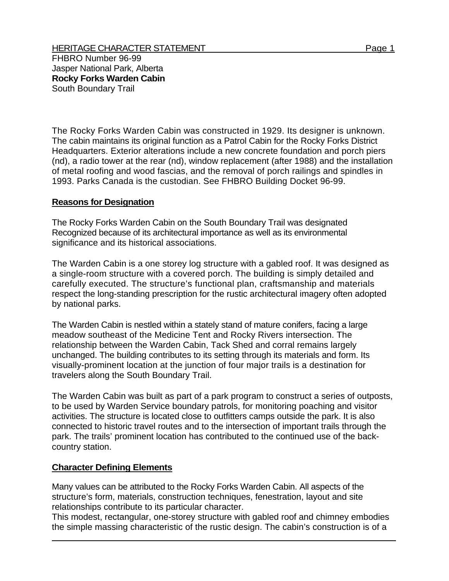FHBRO Number 96-99 Jasper National Park, Alberta **Rocky Forks Warden Cabin**  South Boundary Trail

The Rocky Forks Warden Cabin was constructed in 1929. Its designer is unknown. The cabin maintains its original function as a Patrol Cabin for the Rocky Forks District Headquarters. Exterior alterations include a new concrete foundation and porch piers (nd), a radio tower at the rear (nd), window replacement (after 1988) and the installation of metal roofing and wood fascias, and the removal of porch railings and spindles in 1993. Parks Canada is the custodian. See FHBRO Building Docket 96-99.

## **Reasons for Designation**

The Rocky Forks Warden Cabin on the South Boundary Trail was designated Recognized because of its architectural importance as well as its environmental significance and its historical associations.

The Warden Cabin is a one storey log structure with a gabled roof. It was designed as a single-room structure with a covered porch. The building is simply detailed and carefully executed. The structure's functional plan, craftsmanship and materials respect the long-standing prescription for the rustic architectural imagery often adopted by national parks.

The Warden Cabin is nestled within a stately stand of mature conifers, facing a large meadow southeast of the Medicine Tent and Rocky Rivers intersection. The relationship between the Warden Cabin, Tack Shed and corral remains largely unchanged. The building contributes to its setting through its materials and form. Its visually-prominent location at the junction of four major trails is a destination for travelers along the South Boundary Trail.

The Warden Cabin was built as part of a park program to construct a series of outposts, to be used by Warden Service boundary patrols, for monitoring poaching and visitor activities. The structure is located close to outfitters camps outside the park. It is also connected to historic travel routes and to the intersection of important trails through the park. The trails' prominent location has contributed to the continued use of the backcountry station.

## **Character Defining Elements**

Many values can be attributed to the Rocky Forks Warden Cabin. All aspects of the structure's form, materials, construction techniques, fenestration, layout and site relationships contribute to its particular character.

This modest, rectangular, one-storey structure with gabled roof and chimney embodies the simple massing characteristic of the rustic design. The cabin's construction is of a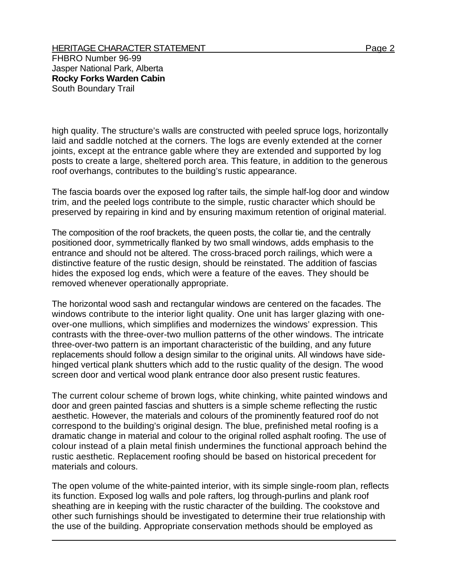## HERITAGE CHARACTER STATEMENT FRIEL AND THE Page 2

FHBRO Number 96-99 Jasper National Park, Alberta **Rocky Forks Warden Cabin**  South Boundary Trail

high quality. The structure's walls are constructed with peeled spruce logs, horizontally laid and saddle notched at the corners. The logs are evenly extended at the corner joints, except at the entrance gable where they are extended and supported by log posts to create a large, sheltered porch area. This feature, in addition to the generous roof overhangs, contributes to the building's rustic appearance.

The fascia boards over the exposed log rafter tails, the simple half-log door and window trim, and the peeled logs contribute to the simple, rustic character which should be preserved by repairing in kind and by ensuring maximum retention of original material.

The composition of the roof brackets, the queen posts, the collar tie, and the centrally positioned door, symmetrically flanked by two small windows, adds emphasis to the entrance and should not be altered. The cross-braced porch railings, which were a distinctive feature of the rustic design, should be reinstated. The addition of fascias hides the exposed log ends, which were a feature of the eaves. They should be removed whenever operationally appropriate.

The horizontal wood sash and rectangular windows are centered on the facades. The windows contribute to the interior light quality. One unit has larger glazing with oneover-one mullions, which simplifies and modernizes the windows' expression. This contrasts with the three-over-two mullion patterns of the other windows. The intricate three-over-two pattern is an important characteristic of the building, and any future replacements should follow a design similar to the original units. All windows have sidehinged vertical plank shutters which add to the rustic quality of the design. The wood screen door and vertical wood plank entrance door also present rustic features.

The current colour scheme of brown logs, white chinking, white painted windows and door and green painted fascias and shutters is a simple scheme reflecting the rustic aesthetic. However, the materials and colours of the prominently featured roof do not correspond to the building's original design. The blue, prefinished metal roofing is a dramatic change in material and colour to the original rolled asphalt roofing. The use of colour instead of a plain metal finish undermines the functional approach behind the rustic aesthetic. Replacement roofing should be based on historical precedent for materials and colours.

The open volume of the white-painted interior, with its simple single-room plan, reflects its function. Exposed log walls and pole rafters, log through-purlins and plank roof sheathing are in keeping with the rustic character of the building. The cookstove and other such furnishings should be investigated to determine their true relationship with the use of the building. Appropriate conservation methods should be employed as